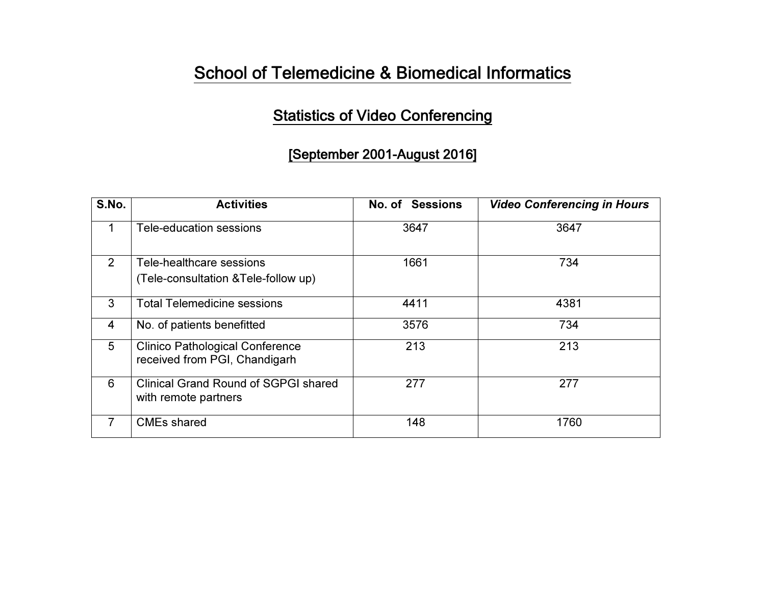## School of Telemedicine & Biomedical Informatics

### Statistics of Video Conferencing

#### [September 2001-August 2016]

| S.No.          | <b>Activities</b>                                                       | No. of Sessions | <b>Video Conferencing in Hours</b> |
|----------------|-------------------------------------------------------------------------|-----------------|------------------------------------|
| 1              | Tele-education sessions                                                 | 3647            | 3647                               |
| 2              | Tele-healthcare sessions<br>(Tele-consultation & Tele-follow up)        | 1661            | 734                                |
| 3              | <b>Total Telemedicine sessions</b>                                      | 4411            | 4381                               |
| $\overline{4}$ | No. of patients benefitted                                              | 3576            | 734                                |
| 5              | <b>Clinico Pathological Conference</b><br>received from PGI, Chandigarh | 213             | 213                                |
| 6              | <b>Clinical Grand Round of SGPGI shared</b><br>with remote partners     | 277             | 277                                |
| 7              | <b>CMEs shared</b>                                                      | 148             | 1760                               |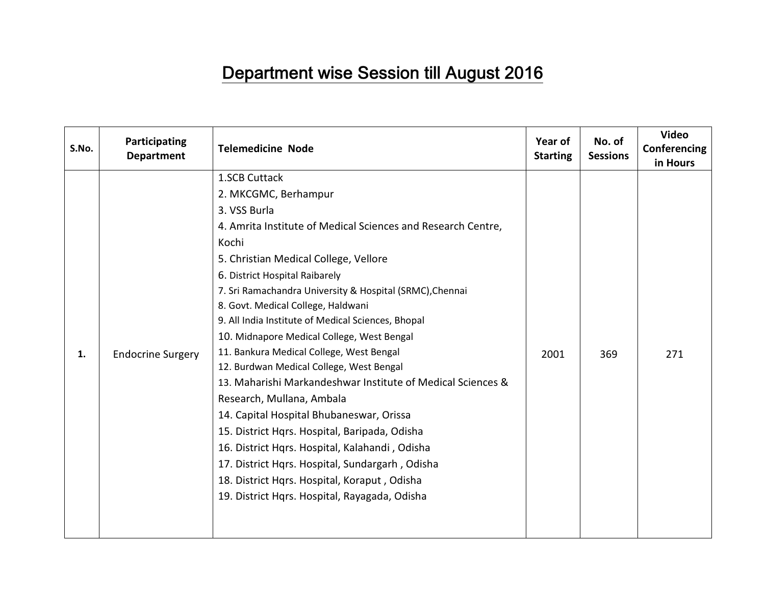# Department wise Session till August 2016

| S.No. | Participating<br><b>Department</b> | <b>Telemedicine Node</b>                                                                                                                                                                                                                                                                                                                                                                                                                                                                                                                                                                                                                                                                                                                                                                                                                                                                               | Year of<br><b>Starting</b> | No. of<br><b>Sessions</b> | <b>Video</b><br>Conferencing<br>in Hours |
|-------|------------------------------------|--------------------------------------------------------------------------------------------------------------------------------------------------------------------------------------------------------------------------------------------------------------------------------------------------------------------------------------------------------------------------------------------------------------------------------------------------------------------------------------------------------------------------------------------------------------------------------------------------------------------------------------------------------------------------------------------------------------------------------------------------------------------------------------------------------------------------------------------------------------------------------------------------------|----------------------------|---------------------------|------------------------------------------|
| 1.    | <b>Endocrine Surgery</b>           | 1.SCB Cuttack<br>2. MKCGMC, Berhampur<br>3. VSS Burla<br>4. Amrita Institute of Medical Sciences and Research Centre,<br>Kochi<br>5. Christian Medical College, Vellore<br>6. District Hospital Raibarely<br>7. Sri Ramachandra University & Hospital (SRMC), Chennai<br>8. Govt. Medical College, Haldwani<br>9. All India Institute of Medical Sciences, Bhopal<br>10. Midnapore Medical College, West Bengal<br>11. Bankura Medical College, West Bengal<br>12. Burdwan Medical College, West Bengal<br>13. Maharishi Markandeshwar Institute of Medical Sciences &<br>Research, Mullana, Ambala<br>14. Capital Hospital Bhubaneswar, Orissa<br>15. District Hqrs. Hospital, Baripada, Odisha<br>16. District Hqrs. Hospital, Kalahandi, Odisha<br>17. District Hqrs. Hospital, Sundargarh, Odisha<br>18. District Hqrs. Hospital, Koraput, Odisha<br>19. District Hqrs. Hospital, Rayagada, Odisha | 2001                       | 369                       | 271                                      |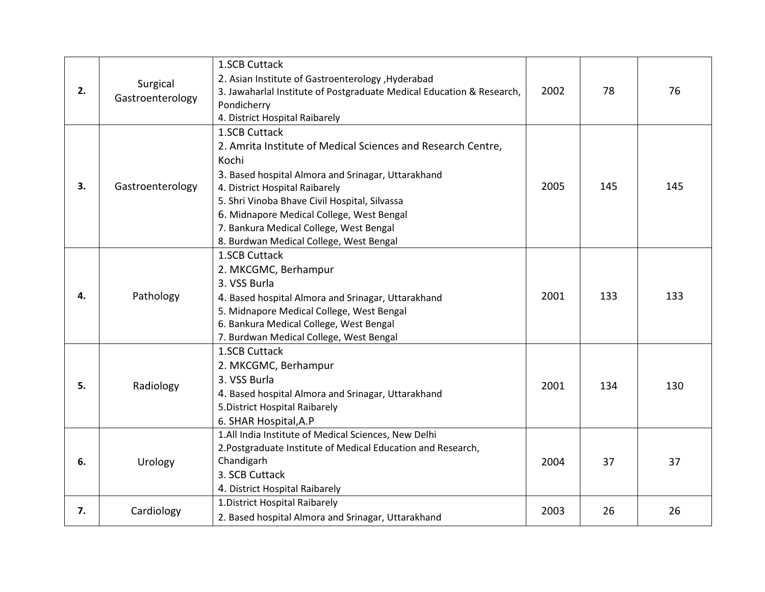| 2. | Surgical<br>Gastroenterology | 1.SCB Cuttack<br>2. Asian Institute of Gastroenterology , Hyderabad<br>3. Jawaharlal Institute of Postgraduate Medical Education & Research,<br>Pondicherry<br>4. District Hospital Raibarely                                                                                                                                                                      | 2002 | 78  | 76  |
|----|------------------------------|--------------------------------------------------------------------------------------------------------------------------------------------------------------------------------------------------------------------------------------------------------------------------------------------------------------------------------------------------------------------|------|-----|-----|
| 3. | Gastroenterology             | 1.SCB Cuttack<br>2. Amrita Institute of Medical Sciences and Research Centre,<br>Kochi<br>3. Based hospital Almora and Srinagar, Uttarakhand<br>4. District Hospital Raibarely<br>5. Shri Vinoba Bhave Civil Hospital, Silvassa<br>6. Midnapore Medical College, West Bengal<br>7. Bankura Medical College, West Bengal<br>8. Burdwan Medical College, West Bengal | 2005 | 145 | 145 |
| 4. | Pathology                    | 1.SCB Cuttack<br>2. MKCGMC, Berhampur<br>3. VSS Burla<br>4. Based hospital Almora and Srinagar, Uttarakhand<br>5. Midnapore Medical College, West Bengal<br>6. Bankura Medical College, West Bengal<br>7. Burdwan Medical College, West Bengal                                                                                                                     | 2001 | 133 | 133 |
| 5. | Radiology                    | 1.SCB Cuttack<br>2. MKCGMC, Berhampur<br>3. VSS Burla<br>4. Based hospital Almora and Srinagar, Uttarakhand<br>5. District Hospital Raibarely<br>6. SHAR Hospital, A.P                                                                                                                                                                                             | 2001 | 134 | 130 |
| 6. | Urology                      | 1.All India Institute of Medical Sciences, New Delhi<br>2. Postgraduate Institute of Medical Education and Research,<br>Chandigarh<br>3. SCB Cuttack<br>4. District Hospital Raibarely                                                                                                                                                                             | 2004 | 37  | 37  |
| 7. | Cardiology                   | 1. District Hospital Raibarely<br>2. Based hospital Almora and Srinagar, Uttarakhand                                                                                                                                                                                                                                                                               | 2003 | 26  | 26  |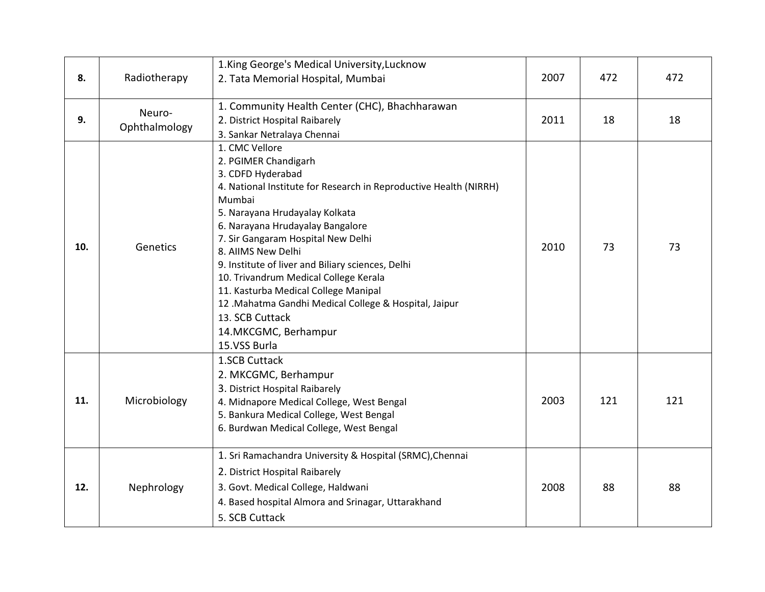| 8.  | Radiotherapy            | 1. King George's Medical University, Lucknow<br>2. Tata Memorial Hospital, Mumbai                                                                                                                                                                                                                                                                                                                                                                                                                                                       | 2007 | 472 | 472 |
|-----|-------------------------|-----------------------------------------------------------------------------------------------------------------------------------------------------------------------------------------------------------------------------------------------------------------------------------------------------------------------------------------------------------------------------------------------------------------------------------------------------------------------------------------------------------------------------------------|------|-----|-----|
| 9.  | Neuro-<br>Ophthalmology | 1. Community Health Center (CHC), Bhachharawan<br>2. District Hospital Raibarely<br>3. Sankar Netralaya Chennai                                                                                                                                                                                                                                                                                                                                                                                                                         | 2011 | 18  | 18  |
| 10. | Genetics                | 1. CMC Vellore<br>2. PGIMER Chandigarh<br>3. CDFD Hyderabad<br>4. National Institute for Research in Reproductive Health (NIRRH)<br>Mumbai<br>5. Narayana Hrudayalay Kolkata<br>6. Narayana Hrudayalay Bangalore<br>7. Sir Gangaram Hospital New Delhi<br>8. AIIMS New Delhi<br>9. Institute of liver and Biliary sciences, Delhi<br>10. Trivandrum Medical College Kerala<br>11. Kasturba Medical College Manipal<br>12 .Mahatma Gandhi Medical College & Hospital, Jaipur<br>13. SCB Cuttack<br>14. MKCGMC, Berhampur<br>15.VSS Burla | 2010 | 73  | 73  |
| 11. | Microbiology            | 1.SCB Cuttack<br>2. MKCGMC, Berhampur<br>3. District Hospital Raibarely<br>4. Midnapore Medical College, West Bengal<br>5. Bankura Medical College, West Bengal<br>6. Burdwan Medical College, West Bengal                                                                                                                                                                                                                                                                                                                              | 2003 | 121 | 121 |
| 12. | Nephrology              | 1. Sri Ramachandra University & Hospital (SRMC), Chennai<br>2. District Hospital Raibarely<br>3. Govt. Medical College, Haldwani<br>4. Based hospital Almora and Srinagar, Uttarakhand<br>5. SCB Cuttack                                                                                                                                                                                                                                                                                                                                | 2008 | 88  | 88  |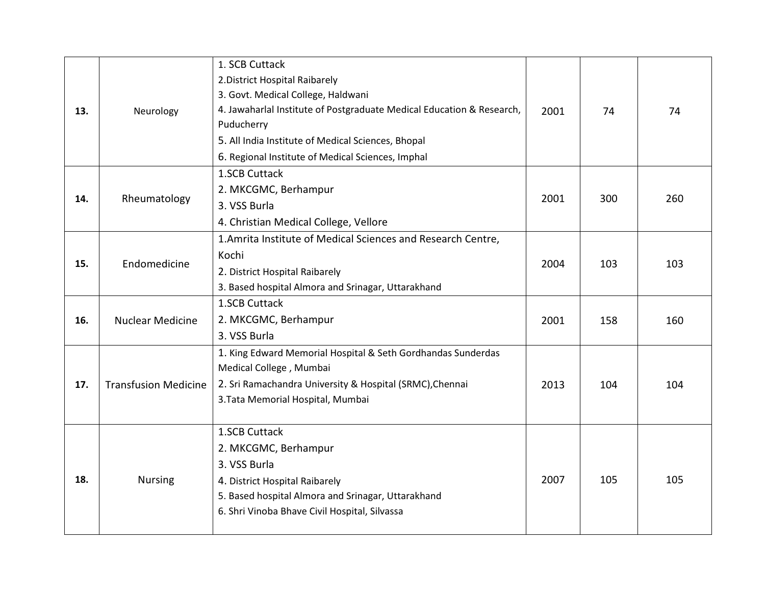| 13. | Neurology                   | 1. SCB Cuttack<br>2. District Hospital Raibarely<br>3. Govt. Medical College, Haldwani<br>4. Jawaharlal Institute of Postgraduate Medical Education & Research,<br>Puducherry<br>5. All India Institute of Medical Sciences, Bhopal<br>6. Regional Institute of Medical Sciences, Imphal | 2001 | 74  | 74  |
|-----|-----------------------------|------------------------------------------------------------------------------------------------------------------------------------------------------------------------------------------------------------------------------------------------------------------------------------------|------|-----|-----|
| 14. | Rheumatology                | 1.SCB Cuttack<br>2. MKCGMC, Berhampur<br>3. VSS Burla<br>4. Christian Medical College, Vellore                                                                                                                                                                                           | 2001 | 300 | 260 |
| 15. | Endomedicine                | 1. Amrita Institute of Medical Sciences and Research Centre,<br>Kochi<br>2. District Hospital Raibarely<br>3. Based hospital Almora and Srinagar, Uttarakhand                                                                                                                            | 2004 | 103 | 103 |
| 16. | <b>Nuclear Medicine</b>     | 1.SCB Cuttack<br>2. MKCGMC, Berhampur<br>3. VSS Burla                                                                                                                                                                                                                                    | 2001 | 158 | 160 |
| 17. | <b>Transfusion Medicine</b> | 1. King Edward Memorial Hospital & Seth Gordhandas Sunderdas<br>Medical College, Mumbai<br>2. Sri Ramachandra University & Hospital (SRMC), Chennai<br>3. Tata Memorial Hospital, Mumbai                                                                                                 | 2013 | 104 | 104 |
| 18. | <b>Nursing</b>              | 1.SCB Cuttack<br>2. MKCGMC, Berhampur<br>3. VSS Burla<br>4. District Hospital Raibarely<br>5. Based hospital Almora and Srinagar, Uttarakhand<br>6. Shri Vinoba Bhave Civil Hospital, Silvassa                                                                                           | 2007 | 105 | 105 |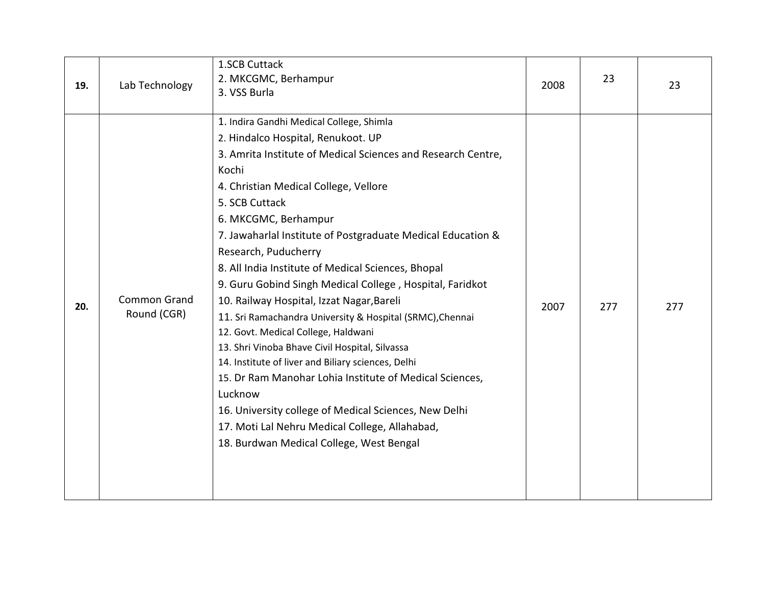| 19. | Lab Technology                     | 1.SCB Cuttack<br>2. MKCGMC, Berhampur<br>3. VSS Burla                                                                                                                                                                                                                                                                                                                                                                                                                                                                                                                                                                                                                                                                                                                                                                                                                                                                                     | 2008 | 23  | 23  |
|-----|------------------------------------|-------------------------------------------------------------------------------------------------------------------------------------------------------------------------------------------------------------------------------------------------------------------------------------------------------------------------------------------------------------------------------------------------------------------------------------------------------------------------------------------------------------------------------------------------------------------------------------------------------------------------------------------------------------------------------------------------------------------------------------------------------------------------------------------------------------------------------------------------------------------------------------------------------------------------------------------|------|-----|-----|
| 20. | <b>Common Grand</b><br>Round (CGR) | 1. Indira Gandhi Medical College, Shimla<br>2. Hindalco Hospital, Renukoot. UP<br>3. Amrita Institute of Medical Sciences and Research Centre,<br>Kochi<br>4. Christian Medical College, Vellore<br>5. SCB Cuttack<br>6. MKCGMC, Berhampur<br>7. Jawaharlal Institute of Postgraduate Medical Education &<br>Research, Puducherry<br>8. All India Institute of Medical Sciences, Bhopal<br>9. Guru Gobind Singh Medical College, Hospital, Faridkot<br>10. Railway Hospital, Izzat Nagar, Bareli<br>11. Sri Ramachandra University & Hospital (SRMC), Chennai<br>12. Govt. Medical College, Haldwani<br>13. Shri Vinoba Bhave Civil Hospital, Silvassa<br>14. Institute of liver and Biliary sciences, Delhi<br>15. Dr Ram Manohar Lohia Institute of Medical Sciences,<br>Lucknow<br>16. University college of Medical Sciences, New Delhi<br>17. Moti Lal Nehru Medical College, Allahabad,<br>18. Burdwan Medical College, West Bengal | 2007 | 277 | 277 |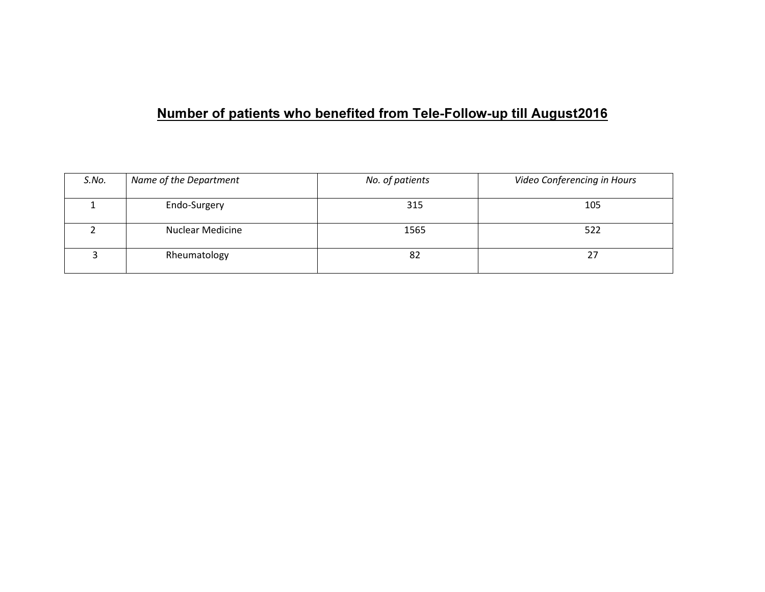#### Number of patients who benefited from Tele-Follow-up till August2016

| S.No. | Name of the Department  | No. of patients | Video Conferencing in Hours |
|-------|-------------------------|-----------------|-----------------------------|
|       | Endo-Surgery            | 315             | 105                         |
|       | <b>Nuclear Medicine</b> | 1565            | 522                         |
|       | Rheumatology            | 82              | ∠                           |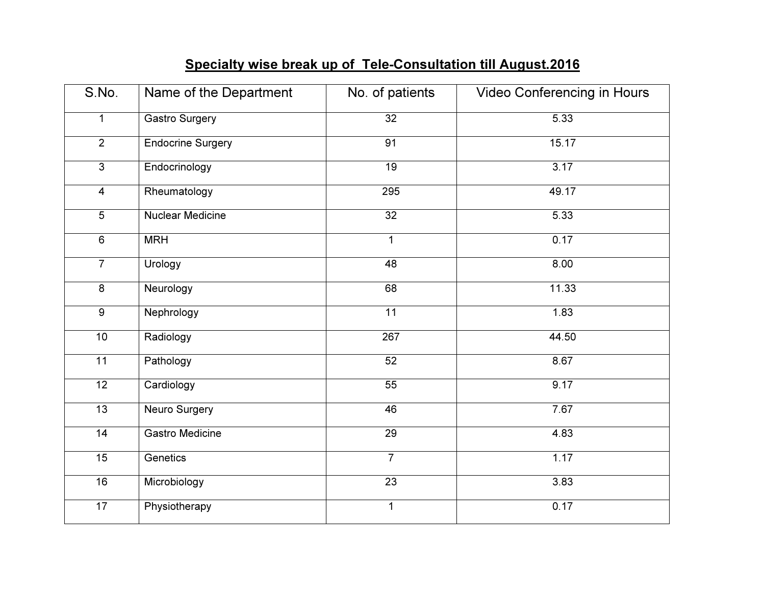#### Specialty wise break up of Tele-Consultation till August.2016

| S.No.           | Name of the Department   | No. of patients | Video Conferencing in Hours |
|-----------------|--------------------------|-----------------|-----------------------------|
| $\mathbf{1}$    | <b>Gastro Surgery</b>    | $\overline{32}$ | 5.33                        |
| $\overline{2}$  | <b>Endocrine Surgery</b> | 91              | 15.17                       |
| $\overline{3}$  | Endocrinology            | 19              | 3.17                        |
| $\overline{4}$  | Rheumatology             | 295             | 49.17                       |
| $\overline{5}$  | <b>Nuclear Medicine</b>  | $\overline{32}$ | 5.33                        |
| $\overline{6}$  | <b>MRH</b>               | $\mathbf{1}$    | 0.17                        |
| $\overline{7}$  | Urology                  | 48              | 8.00                        |
| $\overline{8}$  | Neurology                | 68              | 11.33                       |
| $\overline{9}$  | Nephrology               | $\overline{11}$ | 1.83                        |
| 10              | Radiology                | 267             | 44.50                       |
| $\overline{11}$ | Pathology                | 52              | 8.67                        |
| $\overline{12}$ | Cardiology               | $\overline{55}$ | 9.17                        |
| 13              | <b>Neuro Surgery</b>     | 46              | 7.67                        |
| 14              | <b>Gastro Medicine</b>   | $\overline{29}$ | 4.83                        |
| 15              | Genetics                 | $\overline{7}$  | 1.17                        |
| 16              | Microbiology             | $\overline{23}$ | 3.83                        |
| $\overline{17}$ | Physiotherapy            | $\mathbf{1}$    | 0.17                        |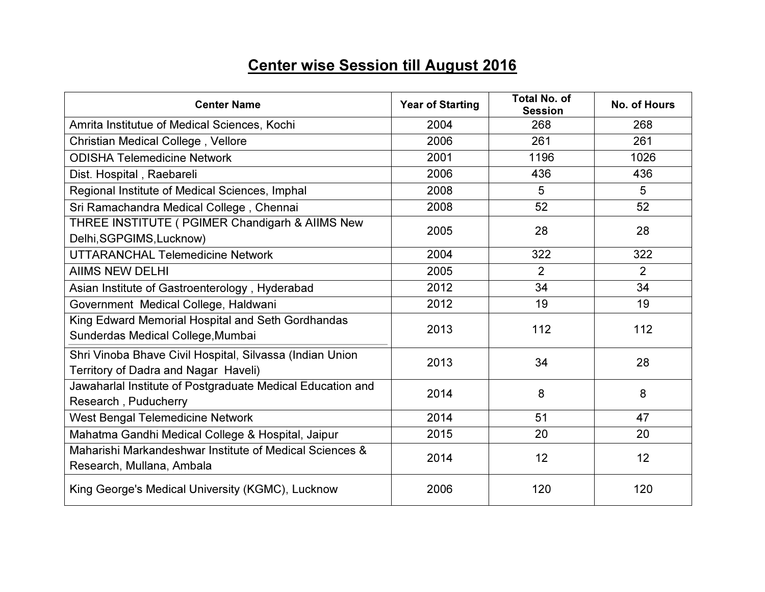## Center wise Session till August 2016

| <b>Center Name</b>                                                                               | <b>Year of Starting</b> | <b>Total No. of</b><br><b>Session</b> | <b>No. of Hours</b> |
|--------------------------------------------------------------------------------------------------|-------------------------|---------------------------------------|---------------------|
| Amrita Institutue of Medical Sciences, Kochi                                                     | 2004                    | 268                                   | 268                 |
| Christian Medical College, Vellore                                                               | 2006                    | 261                                   | 261                 |
| <b>ODISHA Telemedicine Network</b>                                                               | 2001                    | 1196                                  | 1026                |
| Dist. Hospital, Raebareli                                                                        | 2006                    | 436                                   | 436                 |
| Regional Institute of Medical Sciences, Imphal                                                   | 2008                    | 5                                     | 5                   |
| Sri Ramachandra Medical College, Chennai                                                         | 2008                    | 52                                    | 52                  |
| THREE INSTITUTE ( PGIMER Chandigarh & AIIMS New<br>Delhi, SGPGIMS, Lucknow)                      | 2005                    | 28                                    | 28                  |
| <b>UTTARANCHAL Telemedicine Network</b>                                                          | 2004                    | 322                                   | 322                 |
| <b>AIIMS NEW DELHI</b>                                                                           | 2005                    | $\overline{2}$                        | 2                   |
| Asian Institute of Gastroenterology, Hyderabad                                                   | 2012                    | 34                                    | 34                  |
| Government Medical College, Haldwani                                                             | 2012                    | 19                                    | 19                  |
| King Edward Memorial Hospital and Seth Gordhandas<br>Sunderdas Medical College, Mumbai           | 2013                    | 112                                   | 112                 |
| Shri Vinoba Bhave Civil Hospital, Silvassa (Indian Union<br>Territory of Dadra and Nagar Haveli) | 2013                    | 34                                    | 28                  |
| Jawaharlal Institute of Postgraduate Medical Education and<br>Research, Puducherry               | 2014                    | 8                                     | 8                   |
| <b>West Bengal Telemedicine Network</b>                                                          | 2014                    | 51                                    | 47                  |
| Mahatma Gandhi Medical College & Hospital, Jaipur                                                | 2015                    | 20                                    | 20                  |
| Maharishi Markandeshwar Institute of Medical Sciences &<br>Research, Mullana, Ambala             | 2014                    | 12                                    | 12                  |
| King George's Medical University (KGMC), Lucknow                                                 | 2006                    | 120                                   | 120                 |